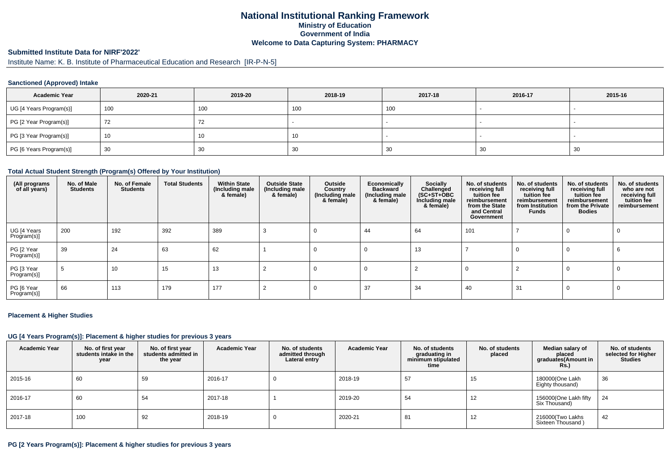# **National Institutional Ranking FrameworkMinistry of Education Government of IndiaWelcome to Data Capturing System: PHARMACY**

#### **Submitted Institute Data for NIRF'2022'**

Institute Name: K. B. Institute of Pharmaceutical Education and Research [IR-P-N-5]

### **Sanctioned (Approved) Intake**

| <b>Academic Year</b>    | 2020-21 | 2019-20 | 2018-19 | 2017-18 | 2016-17 | 2015-16                  |
|-------------------------|---------|---------|---------|---------|---------|--------------------------|
| UG [4 Years Program(s)] | 100     | 100     | 100     | 100     |         | $\overline{\phantom{a}}$ |
| PG [2 Year Program(s)]  | 72      | 72      |         |         |         |                          |
| PG [3 Year Program(s)]  | 10      | ιν.     | 10      |         |         |                          |
| PG [6 Years Program(s)] | 30      | 30      | 30      | 30      | 30      | 30                       |

#### **Total Actual Student Strength (Program(s) Offered by Your Institution)**

| (All programs<br>of all years) | No. of Male<br><b>Students</b> | No. of Female<br><b>Students</b> | <b>Total Students</b> | <b>Within State</b><br>(Including male<br>& female) | <b>Outside State</b><br>(Including male<br>& female) | Outside<br>Country<br>(Including male<br>& female) | Economically<br><b>Backward</b><br>(Including male<br>& female) | Socially<br>Challenged<br>$(SC+ST+OBC)$<br>Including male<br>& female) | No. of students<br>receiving full<br>tuition fee<br>reimbursement<br>from the State<br>and Central<br>Government | No. of students<br>receiving full<br>tuition fee<br>reimbursement<br>from Institution<br>Funds | No. of students<br>receiving full<br>tuition fee<br>reimbursement<br>from the Private<br><b>Bodies</b> | No. of students<br>who are not<br>receiving full<br>tuition fee<br>reimbursement |
|--------------------------------|--------------------------------|----------------------------------|-----------------------|-----------------------------------------------------|------------------------------------------------------|----------------------------------------------------|-----------------------------------------------------------------|------------------------------------------------------------------------|------------------------------------------------------------------------------------------------------------------|------------------------------------------------------------------------------------------------|--------------------------------------------------------------------------------------------------------|----------------------------------------------------------------------------------|
| UG [4 Years<br>Program(s)]     | 200                            | 192                              | 392                   | 389                                                 |                                                      |                                                    | 44                                                              | 64                                                                     | 101                                                                                                              |                                                                                                | $\Omega$                                                                                               |                                                                                  |
| PG [2 Year<br>Program(s)]      | 39                             | 24                               | 63                    | 62                                                  |                                                      | O                                                  |                                                                 | 13                                                                     |                                                                                                                  | 0                                                                                              | $\Omega$                                                                                               |                                                                                  |
| PG [3 Year<br>Program(s)]      |                                | 10                               | 15                    | 13                                                  |                                                      |                                                    |                                                                 |                                                                        |                                                                                                                  |                                                                                                | $\Omega$                                                                                               |                                                                                  |
| PG [6 Year<br>Program(s)]      | 66                             | 113                              | 179                   | 177                                                 |                                                      |                                                    | 37                                                              | 34                                                                     | 40                                                                                                               | 31                                                                                             | 0                                                                                                      |                                                                                  |

#### **Placement & Higher Studies**

#### **UG [4 Years Program(s)]: Placement & higher studies for previous 3 years**

| <b>Academic Year</b> | No. of first year<br>students intake in the<br>year | No. of first vear<br>students admitted in<br>the year | <b>Academic Year</b> | No. of students<br>admitted through<br>Lateral entry | <b>Academic Year</b> | No. of students<br>graduating in<br>minimum stipulated<br>time | No. of students<br>placed | Median salary of<br>placed<br>graduates(Amount in<br><b>Rs.)</b> | No. of students<br>selected for Higher<br><b>Studies</b> |
|----------------------|-----------------------------------------------------|-------------------------------------------------------|----------------------|------------------------------------------------------|----------------------|----------------------------------------------------------------|---------------------------|------------------------------------------------------------------|----------------------------------------------------------|
| 2015-16              | 60                                                  | 59                                                    | 2016-17              |                                                      | 2018-19              | 57                                                             | 15                        | 180000(One Lakh<br>Eighty thousand)                              | 36                                                       |
| 2016-17              | 60                                                  | 54                                                    | 2017-18              |                                                      | 2019-20              | 54                                                             | 12                        | 156000(One Lakh fifty<br>Six Thousand)                           | 24                                                       |
| 2017-18              | 100                                                 | 92                                                    | 2018-19              |                                                      | 2020-21              | 81                                                             | 12                        | 216000(Two Lakhs<br>Sixteen Thousand)                            | 42                                                       |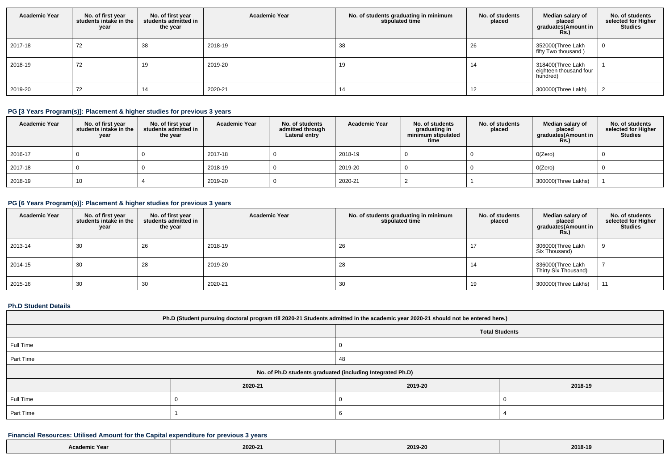| <b>Academic Year</b> | No. of first year<br>students intake in the<br>year | No. of first year<br>students admitted in<br>the year | <b>Academic Year</b> | No. of students graduating in minimum<br>stipulated time | No. of students<br>placed | Median salary of<br>placed<br>graduates(Amount in<br><b>Rs.)</b> | No. of students<br>selected for Higher<br><b>Studies</b> |
|----------------------|-----------------------------------------------------|-------------------------------------------------------|----------------------|----------------------------------------------------------|---------------------------|------------------------------------------------------------------|----------------------------------------------------------|
| 2017-18              | 72                                                  | 38                                                    | 2018-19              | 38                                                       | 26                        | 352000(Three Lakh<br>fifty Two thousand)                         |                                                          |
| 2018-19              | 72                                                  | 19                                                    | 2019-20              | 19                                                       | 14                        | 318400(Three Lakh<br>eighteen thousand four<br>hundred)          |                                                          |
| 2019-20              | 72                                                  | 14                                                    | 2020-21              | 14                                                       | 12                        | 300000(Three Lakh)                                               |                                                          |

## **PG [3 Years Program(s)]: Placement & higher studies for previous 3 years**

| <b>Academic Year</b> | No. of first year<br>students intake in the<br>year | No. of first year<br>students admitted in<br>the year | <b>Academic Year</b> | No. of students<br>admitted through<br>Lateral entry | <b>Academic Year</b> | No. of students<br>graduating in<br>minimum stipulated<br>time | No. of students<br>placed | Median salary of<br>placed<br>graduates(Amount in<br><b>Rs.)</b> | No. of students<br>selected for Higher<br>Studies |
|----------------------|-----------------------------------------------------|-------------------------------------------------------|----------------------|------------------------------------------------------|----------------------|----------------------------------------------------------------|---------------------------|------------------------------------------------------------------|---------------------------------------------------|
| 2016-17              |                                                     |                                                       | 2017-18              |                                                      | 2018-19              |                                                                |                           | O(Zero)                                                          |                                                   |
| 2017-18              |                                                     |                                                       | 2018-19              |                                                      | 2019-20              |                                                                |                           | O(Zero)                                                          |                                                   |
| 2018-19              | 10                                                  |                                                       | 2019-20              |                                                      | 2020-21              |                                                                |                           | 300000(Three Lakhs)                                              |                                                   |

## **PG [6 Years Program(s)]: Placement & higher studies for previous 3 years**

| <b>Academic Year</b> | No. of first year<br>students intake in the<br>year | No. of first vear<br>students admitted in<br>the year | <b>Academic Year</b> | No. of students graduating in minimum<br>stipulated time | No. of students<br>placed | Median salary of<br>placed<br>graduates(Amount in<br>Rs.) | No. of students<br>selected for Higher<br><b>Studies</b> |
|----------------------|-----------------------------------------------------|-------------------------------------------------------|----------------------|----------------------------------------------------------|---------------------------|-----------------------------------------------------------|----------------------------------------------------------|
| 2013-14              | 30                                                  | 26                                                    | 2018-19              | 26                                                       | 17                        | 306000(Three Lakh<br>Six Thousand)                        |                                                          |
| 2014-15              | 30                                                  | 28                                                    | 2019-20              | 28                                                       | 14                        | 336000(Three Lakh<br>Thirty Six Thousand)                 |                                                          |
| 2015-16              | 30                                                  | 30                                                    | 2020-21              | 30                                                       | 19                        | 300000(Three Lakhs)                                       | 11                                                       |

### **Ph.D Student Details**

| Ph.D (Student pursuing doctoral program till 2020-21 Students admitted in the academic year 2020-21 should not be entered here.) |         |         |         |  |  |  |
|----------------------------------------------------------------------------------------------------------------------------------|---------|---------|---------|--|--|--|
| <b>Total Students</b>                                                                                                            |         |         |         |  |  |  |
| Full Time                                                                                                                        |         |         |         |  |  |  |
| Part Time                                                                                                                        |         | 48      |         |  |  |  |
| No. of Ph.D students graduated (including Integrated Ph.D)                                                                       |         |         |         |  |  |  |
|                                                                                                                                  | 2020-21 | 2019-20 | 2018-19 |  |  |  |
| Full Time                                                                                                                        |         |         |         |  |  |  |
| Part Time                                                                                                                        |         |         |         |  |  |  |

### **Financial Resources: Utilised Amount for the Capital expenditure for previous 3 years**

| Academic Year | 2020-21 | 2019-20 | 2018-19 |
|---------------|---------|---------|---------|
|---------------|---------|---------|---------|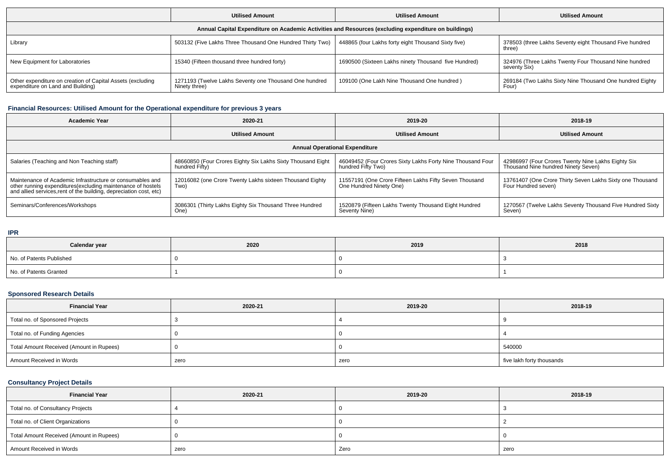|                                                                                                      | <b>Utilised Amount</b>                                                  | <b>Utilised Amount</b>                               | <b>Utilised Amount</b>                                                |  |  |  |  |
|------------------------------------------------------------------------------------------------------|-------------------------------------------------------------------------|------------------------------------------------------|-----------------------------------------------------------------------|--|--|--|--|
| Annual Capital Expenditure on Academic Activities and Resources (excluding expenditure on buildings) |                                                                         |                                                      |                                                                       |  |  |  |  |
| Library                                                                                              | 503132 (Five Lakhs Three Thousand One Hundred Thirty Two)               | 448865 (four Lakhs forty eight Thousand Sixty five)  | 378503 (three Lakhs Seventy eight Thousand Five hundred<br>three)     |  |  |  |  |
| New Equipment for Laboratories                                                                       | 15340 (Fifteen thousand three hundred forty)                            | 1690500 (Sixteen Lakhs ninety Thousand five Hundred) | 324976 (Three Lakhs Twenty Four Thousand Nine hundred<br>seventy Six) |  |  |  |  |
| Other expenditure on creation of Capital Assets (excluding<br>expenditure on Land and Building)      | 1271193 (Twelve Lakhs Seventy one Thousand One hundred<br>Ninety three) | 109100 (One Lakh Nine Thousand One hundred)          | 269184 (Two Lakhs Sixty Nine Thousand One hundred Eighty<br>Four)     |  |  |  |  |

### **Financial Resources: Utilised Amount for the Operational expenditure for previous 3 years**

| 2020-21<br>Academic Year                                                                                                                                                                        |                                                                               | 2019-20                                                                           | 2018-19                                                                                   |  |  |  |  |
|-------------------------------------------------------------------------------------------------------------------------------------------------------------------------------------------------|-------------------------------------------------------------------------------|-----------------------------------------------------------------------------------|-------------------------------------------------------------------------------------------|--|--|--|--|
| <b>Utilised Amount</b>                                                                                                                                                                          |                                                                               | <b>Utilised Amount</b>                                                            | <b>Utilised Amount</b>                                                                    |  |  |  |  |
| <b>Annual Operational Expenditure</b>                                                                                                                                                           |                                                                               |                                                                                   |                                                                                           |  |  |  |  |
| Salaries (Teaching and Non Teaching staff)                                                                                                                                                      | 48660850 (Four Crores Eighty Six Lakhs Sixty Thousand Eight<br>hundred Fifty) | 46049452 (Four Crores Sixty Lakhs Forty Nine Thousand Four<br>hundred Fifty Two)  | 42986997 (Four Crores Twenty Nine Lakhs Eighty Six<br>Thousand Nine hundred Ninety Seven) |  |  |  |  |
| Maintenance of Academic Infrastructure or consumables and<br>other running expenditures (excluding maintenance of hostels<br>and allied services, rent of the building, depreciation cost, etc) | 12016082 (one Crore Twenty Lakhs sixteen Thousand Eighty<br>Two)              | 11557191 (One Crore Fifteen Lakhs Fifty Seven Thousand<br>One Hundred Ninety One) | 13761407 (One Crore Thirty Seven Lakhs Sixty one Thousand  <br>Four Hundred seven)        |  |  |  |  |
| Seminars/Conferences/Workshops                                                                                                                                                                  | 3086301 (Thirty Lakhs Eighty Six Thousand Three Hundred<br>One)               | 1520879 (Fifteen Lakhs Twenty Thousand Eight Hundred<br>Seventy Nine)             | 1270567 (Twelve Lakhs Seventy Thousand Five Hundred Sixty<br>Seven)                       |  |  |  |  |

#### **IPR**

| Calendar year            | 2020 | 2019 | 2018 |
|--------------------------|------|------|------|
| No. of Patents Published |      |      |      |
| No. of Patents Granted   |      |      |      |

## **Sponsored Research Details**

| <b>Financial Year</b>                    | 2020-21 | 2019-20 | 2018-19                   |
|------------------------------------------|---------|---------|---------------------------|
| Total no. of Sponsored Projects          |         |         |                           |
| Total no. of Funding Agencies            |         |         |                           |
| Total Amount Received (Amount in Rupees) |         |         | 540000                    |
| Amount Received in Words                 | zero    | zero    | five lakh forty thousands |

# **Consultancy Project Details**

| <b>Financial Year</b>                    | 2020-21 | 2019-20 | 2018-19 |
|------------------------------------------|---------|---------|---------|
| Total no. of Consultancy Projects        |         |         |         |
| Total no. of Client Organizations        |         |         |         |
| Total Amount Received (Amount in Rupees) |         |         |         |
| Amount Received in Words                 | zero    | Zero    | zero    |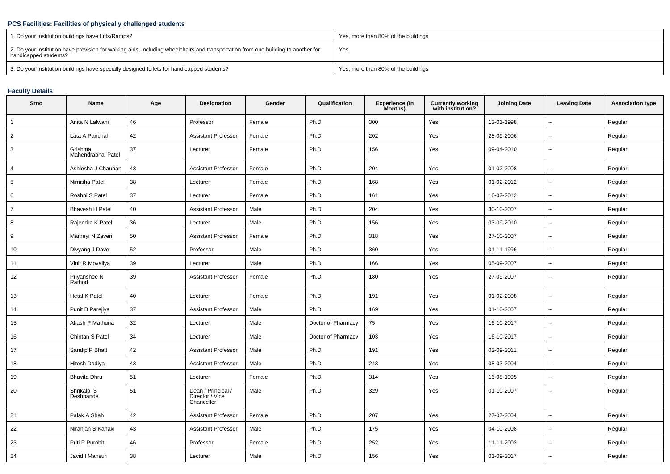### **PCS Facilities: Facilities of physically challenged students**

| 1. Do your institution buildings have Lifts/Ramps?                                                                                                         | Yes, more than 80% of the buildings |
|------------------------------------------------------------------------------------------------------------------------------------------------------------|-------------------------------------|
| 2. Do your institution have provision for walking aids, including wheelchairs and transportation from one building to another for<br>handicapped students? | Yes                                 |
| 3. Do your institution buildings have specially designed toilets for handicapped students?                                                                 | Yes, more than 80% of the buildings |

## **Faculty Details**

| Srno           | Name                          | Age    | Designation                                         | Gender | Qualification      | <b>Experience (In</b><br>Months) | <b>Currently working</b><br>with institution? | <b>Joining Date</b> | <b>Leaving Date</b>      | <b>Association type</b> |
|----------------|-------------------------------|--------|-----------------------------------------------------|--------|--------------------|----------------------------------|-----------------------------------------------|---------------------|--------------------------|-------------------------|
| $\mathbf{1}$   | Anita N Lalwani               | 46     | Professor                                           | Female | Ph.D               | 300                              | Yes                                           | 12-01-1998          | $\mathbf{u}$             | Regular                 |
| $\overline{2}$ | Lata A Panchal                | 42     | <b>Assistant Professor</b>                          | Female | Ph.D               | 202                              | Yes                                           | 28-09-2006          |                          | Regular                 |
| 3              | Grishma<br>Mahendrabhai Patel | $37\,$ | Lecturer                                            | Female | Ph.D               | 156                              | Yes                                           | 09-04-2010          | $\overline{\phantom{a}}$ | Regular                 |
| 4              | Ashlesha J Chauhan            | 43     | <b>Assistant Professor</b>                          | Female | Ph.D               | 204                              | Yes                                           | 01-02-2008          | $\sim$                   | Regular                 |
| 5              | Nimisha Patel                 | 38     | Lecturer                                            | Female | Ph.D               | 168                              | Yes                                           | 01-02-2012          | $\overline{\phantom{a}}$ | Regular                 |
| 6              | Roshni S Patel                | 37     | Lecturer                                            | Female | Ph.D               | 161                              | Yes                                           | 16-02-2012          | $\mathbf{u}$             | Regular                 |
| $\overline{7}$ | <b>Bhavesh H Patel</b>        | 40     | <b>Assistant Professor</b>                          | Male   | Ph.D               | 204                              | Yes                                           | 30-10-2007          | $\overline{a}$           | Regular                 |
| 8              | Rajendra K Patel              | 36     | Lecturer                                            | Male   | Ph.D               | 156                              | Yes                                           | 03-09-2010          | $\mathbf{u}$             | Regular                 |
| 9              | Maitreyi N Zaveri             | 50     | <b>Assistant Professor</b>                          | Female | Ph.D               | 318                              | Yes                                           | 27-10-2007          | $\sim$                   | Regular                 |
| 10             | Divyang J Dave                | 52     | Professor                                           | Male   | Ph.D               | 360                              | Yes                                           | 01-11-1996          | $\overline{\phantom{a}}$ | Regular                 |
| 11             | Vinit R Movaliya              | 39     | Lecturer                                            | Male   | Ph.D               | 166                              | Yes                                           | 05-09-2007          | $\overline{\phantom{a}}$ | Regular                 |
| 12             | Priyanshee N<br>Rathod        | 39     | <b>Assistant Professor</b>                          | Female | Ph.D               | 180                              | Yes                                           | 27-09-2007          | $\mathbf{u}$             | Regular                 |
| 13             | <b>Hetal K Patel</b>          | 40     | Lecturer                                            | Female | Ph.D               | 191                              | Yes                                           | 01-02-2008          | $\mathbf{u}$             | Regular                 |
| 14             | Punit B Parejiya              | 37     | <b>Assistant Professor</b>                          | Male   | Ph.D               | 169                              | Yes                                           | 01-10-2007          | $\overline{\phantom{a}}$ | Regular                 |
| 15             | Akash P Mathuria              | 32     | Lecturer                                            | Male   | Doctor of Pharmacy | 75                               | Yes                                           | 16-10-2017          | $\overline{\phantom{a}}$ | Regular                 |
| 16             | Chintan S Patel               | 34     | Lecturer                                            | Male   | Doctor of Pharmacy | 103                              | Yes                                           | 16-10-2017          | $\overline{\phantom{a}}$ | Regular                 |
| 17             | Sandip P Bhatt                | 42     | <b>Assistant Professor</b>                          | Male   | Ph.D               | 191                              | Yes                                           | 02-09-2011          | --                       | Regular                 |
| 18             | Hitesh Dodiya                 | 43     | <b>Assistant Professor</b>                          | Male   | Ph.D               | 243                              | Yes                                           | 08-03-2004          | $\mathbf{u}$             | Regular                 |
| 19             | <b>Bhavita Dhru</b>           | 51     | Lecturer                                            | Female | Ph.D               | 314                              | Yes                                           | 16-08-1995          | $\sim$                   | Regular                 |
| 20             | Shrikalp S<br>Deshpande       | 51     | Dean / Principal /<br>Director / Vice<br>Chancellor | Male   | Ph.D               | 329                              | Yes                                           | 01-10-2007          | $\overline{a}$           | Regular                 |
| 21             | Palak A Shah                  | 42     | <b>Assistant Professor</b>                          | Female | Ph.D               | 207                              | Yes                                           | 27-07-2004          | --                       | Regular                 |
| 22             | Niranjan S Kanaki             | 43     | Assistant Professor                                 | Male   | Ph.D               | 175                              | Yes                                           | 04-10-2008          | $\mathbf{u}$             | Regular                 |
| 23             | Priti P Purohit               | 46     | Professor                                           | Female | Ph.D               | 252                              | Yes                                           | 11-11-2002          | $\overline{a}$           | Regular                 |
| 24             | Javid I Mansuri               | 38     | Lecturer                                            | Male   | Ph.D               | 156                              | Yes                                           | 01-09-2017          |                          | Regular                 |